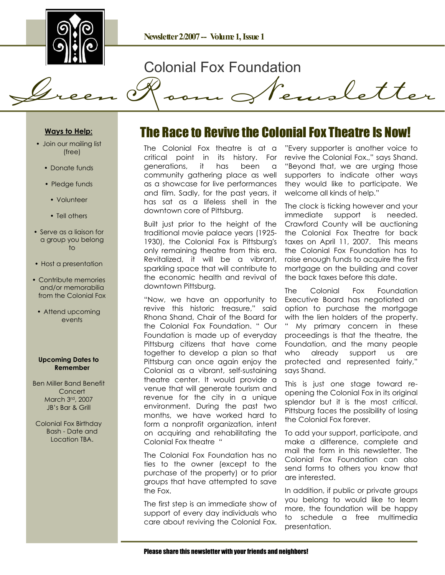

## Colonial Fox Foundation

Green Room Newsletter

#### **Ways to Help:**

- Join our mailing list (free)
	- Donate funds
	- Pledge funds
	- Volunteer
	- Tell others
- Serve as a liaison for a group you belong to
- Host a presentation
- Contribute memories and/or memorabilia from the Colonial Fox
	- Attend upcoming events

#### **Upcoming Dates to Remember**

Ben Miller Band Benefit **Concert** March 3rd, 2007 JB's Bar & Grill

Colonial Fox Birthday Bash - Date and Location TBA.

### The Race to Revive the Colonial Fox Theatre Is Now!

The Colonial Fox theatre is at a critical point in its history. For generations, it has been a community gathering place as well as a showcase for live performances and film. Sadly, for the past years, it has sat as a lifeless shell in the downtown core of Pittsburg.

Built just prior to the height of the traditional movie palace years (1925- 1930), the Colonial Fox is Pittsburg's only remaining theatre from this era. Revitalized, it will be a vibrant, sparkling space that will contribute to the economic health and revival of downtown Pittsburg.

"Now, we have an opportunity to revive this historic treasure," said Rhona Shand, Chair of the Board for the Colonial Fox Foundation. " Our Foundation is made up of everyday Pittsburg citizens that have come together to develop a plan so that Pittsburg can once again enjoy the Colonial as a vibrant, self-sustaining theatre center. It would provide a venue that will generate tourism and revenue for the city in a unique environment. During the past two months, we have worked hard to form a nonprofit organization, intent on acquiring and rehabilitating the Colonial Fox theatre "

The Colonial Fox Foundation has no ties to the owner (except to the purchase of the property) or to prior groups that have attempted to save the Fox.

The first step is an immediate show of support of every day individuals who care about reviving the Colonial Fox. "Every supporter is another voice to revive the Colonial Fox.," says Shand. "Beyond that, we are urging those supporters to indicate other ways they would like to participate. We welcome all kinds of help."

The clock is ticking however and your immediate support is needed. Crawford County will be auctioning the Colonial Fox Theatre for back taxes on April 11, 2007. This means the Colonial Fox Foundation has to raise enough funds to acquire the first mortagge on the building and cover the back taxes before this date.

The Colonial Fox Foundation Executive Board has negotiated an option to purchase the mortgage with the lien holders of the property. " My primary concern in these proceedings is that the theatre, the Foundation, and the many people who already support us are protected and represented fairly," says Shand.

This is just one stage toward reopening the Colonial Fox in its original splendor but it is the most critical. Pittsburg faces the possibility of losing the Colonial Fox forever.

To add your support, participate, and make a difference, complete and mail the form in this newsletter. The Colonial Fox Foundation can also send forms to others you know that are interested.

In addition, if public or private groups you belong to would like to learn more, the foundation will be happy to schedule a free multimedia presentation.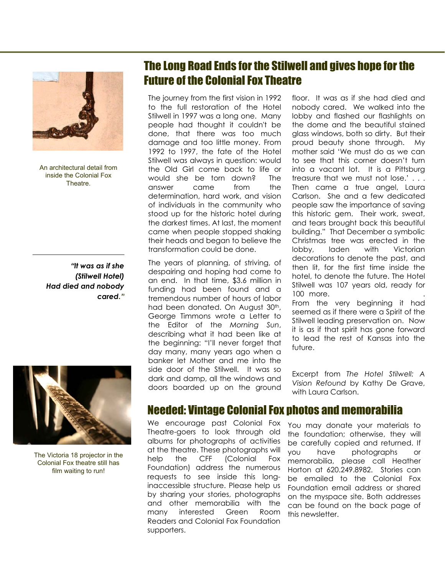

An architectural detail from inside the Colonial Fox Theatre.

*"It was as if she (Stilwell Hotel) Had died and nobody cared."*



The Victoria 18 projector in the Colonial Fox theatre still has film waiting to run!

## The Long Road Ends for the Stilwell and gives hope for the Future of the Colonial Fox Theatre

The journey from the first vision in 1992 to the full restoration of the Hotel Stilwell in 1997 was a long one. Many people had thought it couldn't be done, that there was too much damage and too little money. From 1992 to 1997, the fate of the Hotel Stilwell was always in question: would the Old Girl come back to life or would she be torn down? The answer came from the determination, hard work, and vision of individuals in the community who stood up for the historic hotel during the darkest times. At last, the moment came when people stopped shaking their heads and began to believe the transformation could be done.

The years of planning, of striving, of despairing and hoping had come to an end. In that time, \$3.6 million in funding had been found and a tremendous number of hours of labor had been donated. On August 30th, George Timmons wrote a Letter to the Editor of the *Morning Sun*, describing what it had been like at the beginning: "I'll never forget that day many, many years ago when a banker let Mother and me into the side door of the Stilwell. It was so dark and damp, all the windows and doors boarded up on the ground

floor. It was as if she had died and nobody cared. We walked into the lobby and flashed our flashlights on the dome and the beautiful stained glass windows, both so dirty. But their proud beauty shone through. My mother said 'We must do as we can to see that this corner doesn't turn into a vacant lot. It is a Pittsburg treasure that we must not lose.' . . . Then came a true angel, Laura Carlson. She and a few dedicated people saw the importance of saving this historic gem. Their work, sweat, and tears brought back this beautiful building." That December a symbolic Christmas tree was erected in the lobby, laden with Victorian decorations to denote the past, and then lit, for the first time inside the hotel, to denote the future. The Hotel Stilwell was 107 years old, ready for 100 more.

From the very beginning it had seemed as if there were a Spirit of the Stilwell leading preservation on. Now it is as if that spirit has gone forward to lead the rest of Kansas into the future.

Excerpt from *The Hotel Stilwell: A Vision Refound* by Kathy De Grave, with Laura Carlson.

#### Needed: Vintage Colonial Fox photos and memorabilia

We encourage past Colonial Fox Theatre-goers to look through old albums for photographs of activities at the theatre. These photographs will help the CFF (Colonial Fox Foundation) address the numerous requests to see inside this longinaccessible structure. Please help us by sharing your stories, photographs and other memorabilia with the many interested Green Room Readers and Colonial Fox Foundation supporters.

You may donate your materials to the foundation; otherwise, they will be carefully copied and returned. If you have photographs or memorabilia, please call Heather Horton at 620.249.8982. Stories can be emailed to the Colonial Fox Foundation email address or shared on the myspace site. Both addresses can be found on the back page of this newsletter.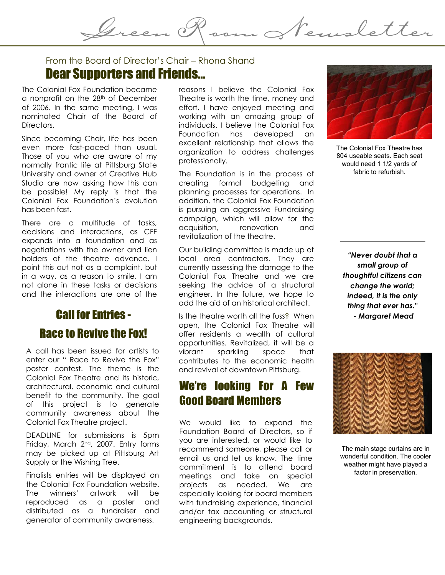Dear Supporters and Friends… From the Board of Director's Chair – Rhona Shand

The Colonial Fox Foundation became a nonprofit on the 28th of December of 2006. In the same meeting, I was nominated Chair of the Board of Directors.

Since becoming Chair, life has been even more fast-paced than usual. Those of you who are aware of my normally frantic life at Pittsburg State University and owner of Creative Hub Studio are now asking how this can be possible! My reply is that the Colonial Fox Foundation's evolution has been fast.

There are a multitude of tasks, decisions and interactions, as CFF expands into a foundation and as negotiations with the owner and lien holders of the theatre advance. I point this out not as a complaint, but in a way, as a reason to smile. I am not alone in these tasks or decisions and the interactions are one of the

## Call for Entries - Race to Revive the Fox!

A call has been issued for artists to enter our " Race to Revive the Fox" poster contest. The theme is the Colonial Fox Theatre and its historic, architectural, economic and cultural benefit to the community. The goal of this project is to generate community awareness about the Colonial Fox Theatre project.

DEADLINE for submissions is 5pm Friday, March 2nd, 2007. Entry forms may be picked up at Pittsburg Art Supply or the Wishing Tree.

Finalists entries will be displayed on the Colonial Fox Foundation website. The winners' artwork will be reproduced as a poster and distributed as a fundraiser and generator of community awareness.

reasons I believe the Colonial Fox Theatre is worth the time, money and effort. I have enjoyed meeting and working with an amazing group of individuals. I believe the Colonial Fox Foundation has developed an excellent relationship that allows the organization to address challenges professionally.

Green Room Newsletter

The Foundation is in the process of creating formal budgeting and planning processes for operations. In addition, the Colonial Fox Foundation is pursuing an aggressive Fundraising campaign, which will allow for the acquisition, renovation and revitalization of the theatre.

Our building committee is made up of local area contractors. They are currently assessing the damage to the Colonial Fox Theatre and we are seeking the advice of a structural engineer. In the future, we hope to add the aid of an historical architect.

Is the theatre worth all the fuss? When open, the Colonial Fox Theatre will offer residents a wealth of cultural opportunities. Revitalized, it will be a vibrant sparkling space that contributes to the economic health and revival of downtown Pittsburg.

#### We're looking For A Few Good Board Members ľ

We would like to expand the Foundation Board of Directors, so if you are interested, or would like to recommend someone, please call or email us and let us know. The time commitment is to attend board meetings and take on special projects as needed. We are especially looking for board members with fundraising experience, financial and/or tax accounting or structural engineering backgrounds.

The Colonial Fox Theatre has 804 useable seats. Each seat would need 1 1/2 yards of

fabric to refurbish.

*"Never doubt that a small group of thoughtful citizens can change the world; indeed, it is the only thing that ever has." - Margaret Mead*



The main stage curtains are in wonderful condition. The cooler weather might have played a factor in preservation.